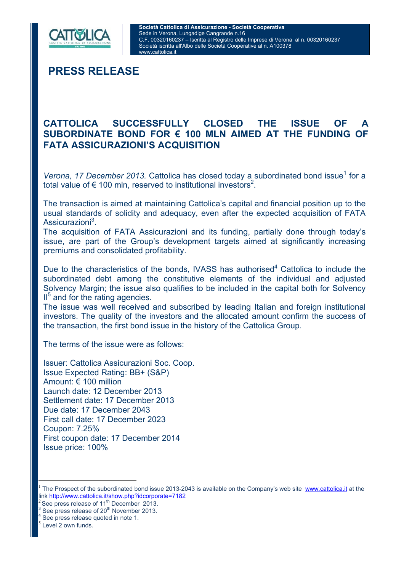

**PRESS RELEASE** 

## **CATTOLICA SUCCESSFULLY CLOSED THE ISSUE OF A SUBORDINATE BOND FOR € 100 MLN AIMED AT THE FUNDING OF FATA ASSICURAZIONI'S ACQUISITION**

 Verona, 17 December 2013. Cattolica has closed today a subordinated bond issue<sup>1</sup> for a total value of  $\epsilon$  100 mln, reserved to institutional investors<sup>2</sup>.

The transaction is aimed at maintaining Cattolica's capital and financial position up to the usual standards of solidity and adequacy, even after the expected acquisition of FATA Assicurazioni<sup>3</sup>.

The acquisition of FATA Assicurazioni and its funding, partially done through today's issue, are part of the Group's development targets aimed at significantly increasing premiums and consolidated profitability.

Due to the characteristics of the bonds, IVASS has authorised<sup>4</sup> Cattolica to include the subordinated debt among the constitutive elements of the individual and adjusted Solvency Margin; the issue also qualifies to be included in the capital both for Solvency II<sup>5</sup> and for the rating agencies.

The issue was well received and subscribed by leading Italian and foreign institutional investors. The quality of the investors and the allocated amount confirm the success of the transaction, the first bond issue in the history of the Cattolica Group.

The terms of the issue were as follows:

Issuer: Cattolica Assicurazioni Soc. Coop. Issue Expected Rating: BB+ (S&P) Amount: € 100 million Launch date: 12 December 2013 Settlement date: 17 December 2013 Due date: 17 December 2043 First call date: 17 December 2023 Coupon: 7.25% First coupon date: 17 December 2014 Issue price: 100%

 $\frac{3}{4}$  See press release of 20<sup>th</sup> November 2013.

 $\overline{a}$ 

<sup>1</sup> The Prospect of the subordinated bond issue 2013-2043 is available on the Company's web site www.cattolica.it at the link <u>http://www.cattolica.it/show.php?idcorporate=7182</u><br><sup>2</sup> See press release of 11<sup>th</sup> December 2013.<br><sup>3</sup> See press release of 20<sup>th</sup> Nevember 2013.

See press release quoted in note 1.

Level 2 own funds.